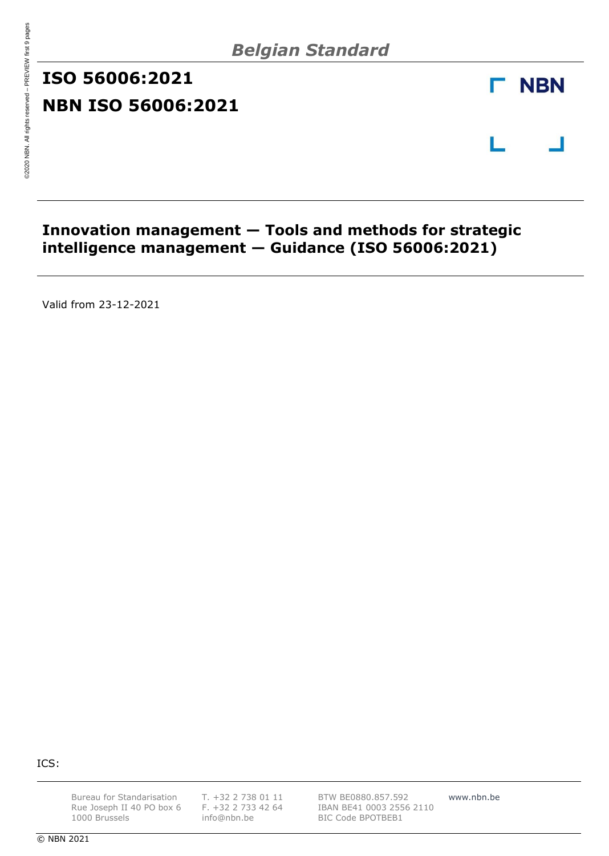## **ISO 56006:2021 NBN ISO 56006:2021**

**NBN** 

#### **Innovation management — Tools and methods for strategic intelligence management — Guidance (ISO 56006:2021)**

Valid from 23-12-2021

ICS:

Bureau for Standarisation Rue Joseph II 40 PO box 6 1000 Brussels

T. +32 2 738 01 11 F. +32 2 733 42 64 [info@nbn.be](mailto:info@nbn.be)

BTW BE0880.857.592 IBAN BE41 0003 2556 2110 BIC Code BPOTBEB1

www.nbn.be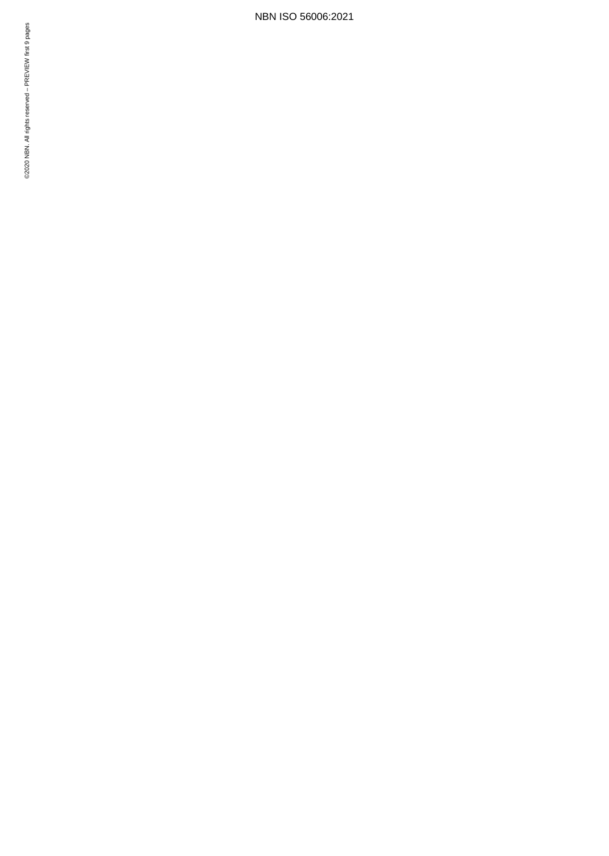@2020 NBN. All rights reserved - PREVIEW first 9 pages ©2020 NBN. All rights reserved – PREVIEW first 9 pages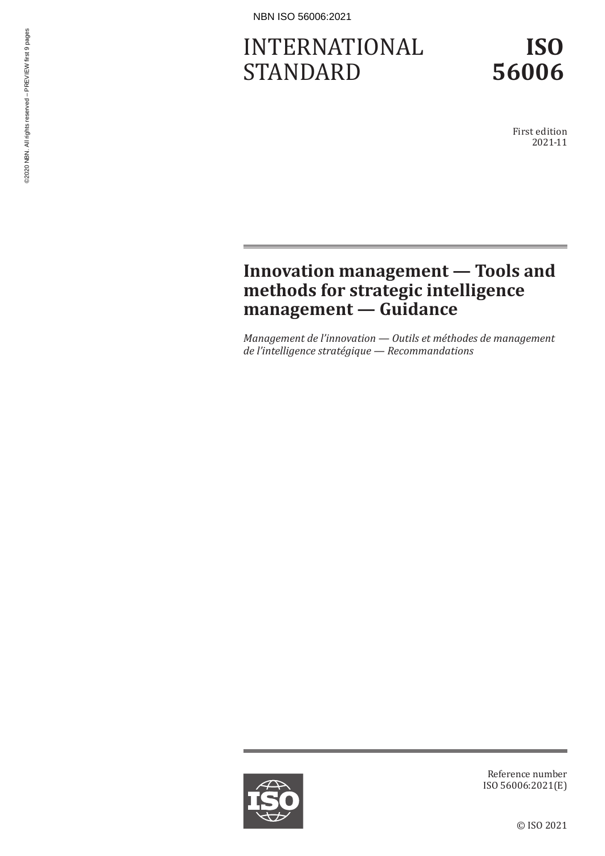## INTERNATIONAL STANDARD

**ISO 56006**

> First edition 2021-11

### **Innovation management — Tools and methods for strategic intelligence management — Guidance**

*Management de l'innovation — Outils et méthodes de management de l'intelligence stratégique — Recommandations*



Reference number ISO 56006:2021(E)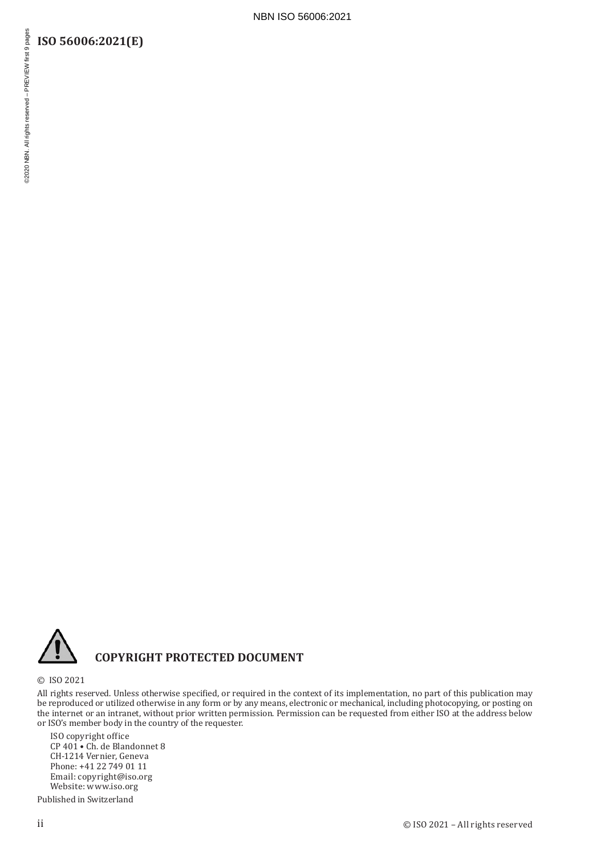#### **ISO 56006:2021(E)**



#### **COPYRIGHT PROTECTED DOCUMENT**

© ISO 2021

All rights reserved. Unless otherwise specified, or required in the context of its implementation, no part of this publication may be reproduced or utilized otherwise in any form or by any means, electronic or mechanical, including photocopying, or posting on the internet or an intranet, without prior written permission. Permission can be requested from either ISO at the address below or ISO's member body in the country of the requester.

ISO copyright office CP 401 • Ch. de Blandonnet 8 CH-1214 Vernier, Geneva Phone: +41 22 749 01 11 Email: copyright@iso.org Website: www.iso.org

Published in Switzerland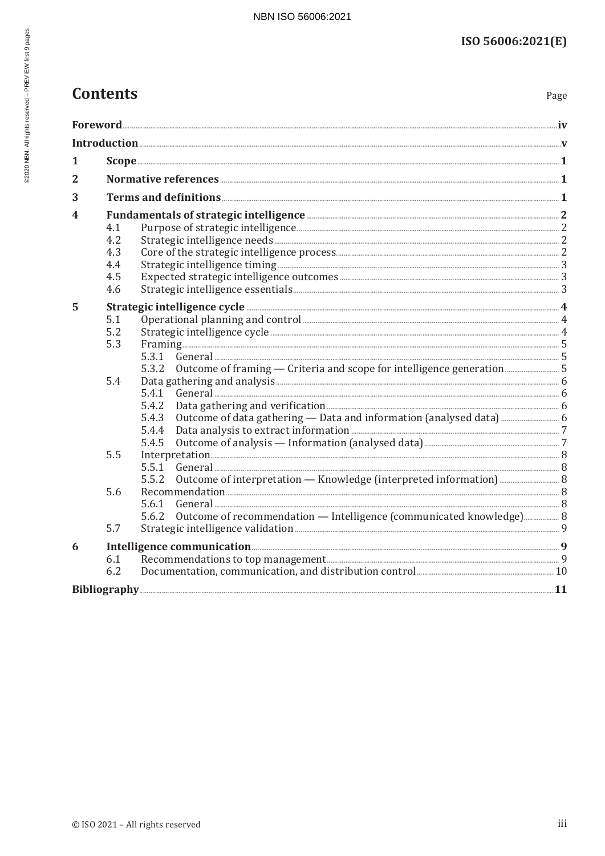Page

| 1              |     |                                                                              |  |
|----------------|-----|------------------------------------------------------------------------------|--|
| $\overline{2}$ |     |                                                                              |  |
| 3              |     |                                                                              |  |
|                |     |                                                                              |  |
| 4              | 4.1 | Fundamentals of strategic intelligence <b>Exercise Communities</b> 2         |  |
|                | 4.2 |                                                                              |  |
|                | 4.3 |                                                                              |  |
|                | 4.4 |                                                                              |  |
|                | 4.5 |                                                                              |  |
|                | 4.6 |                                                                              |  |
|                |     |                                                                              |  |
| 5              |     |                                                                              |  |
|                | 5.1 |                                                                              |  |
|                | 5.2 |                                                                              |  |
|                | 5.3 |                                                                              |  |
|                |     |                                                                              |  |
|                | 5.4 | 5.3.2                                                                        |  |
|                |     | 5.4.1                                                                        |  |
|                |     | 5.4.2                                                                        |  |
|                |     | 5.4.3                                                                        |  |
|                |     | 5.4.4                                                                        |  |
|                |     | 5.4.5                                                                        |  |
|                | 5.5 |                                                                              |  |
|                |     |                                                                              |  |
|                |     | 5.5.2                                                                        |  |
|                | 5.6 |                                                                              |  |
|                |     | 5.6.1                                                                        |  |
|                |     | Outcome of recommendation - Intelligence (communicated knowledge) 8<br>5.6.2 |  |
|                | 5.7 |                                                                              |  |
| 6              |     | Intelligence communication <b>Executive Communication</b> 9                  |  |
|                | 6.1 |                                                                              |  |
|                | 6.2 |                                                                              |  |
|                |     |                                                                              |  |
|                |     |                                                                              |  |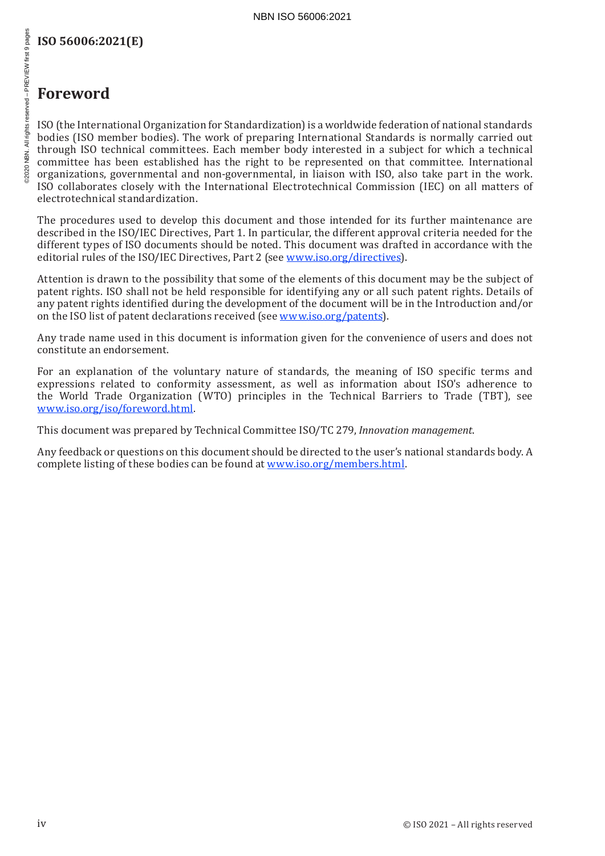#### **ISO 56006:2021(E)**

# **Foreword**

ISO (the International Organization for Standardization) is a worldwide federation of national standards bodies (ISO member bodies). The work of preparing International Standards is normally carried out through ISO technical committees. Each member body interested in a subject for which a technical committee has been established has the right to be represented on that committee. International organizations, governmental and non-governmental, in liaison with ISO, also take part in the work. ISO collaborates closely with the International Electrotechnical Commission (IEC) on all matters of electrotechnical standardization.

The procedures used to develop this document and those intended for its further maintenance are described in the ISO/IEC Directives, Part 1. In particular, the different approval criteria needed for the different types of ISO documents should be noted. This document was drafted in accordance with the editorial rules of the ISO/IEC Directives, Part 2 (see [www.iso.org/directives\)](http://www.iso.org/directives).

Attention is drawn to the possibility that some of the elements of this document may be the subject of patent rights. ISO shall not be held responsible for identifying any or all such patent rights. Details of any patent rights identified during the development of the document will be in the Introduction and/or on the ISO list of patent declarations received (see [www.iso.org/patents](http://www.iso.org/patents)).

Any trade name used in this document is information given for the convenience of users and does not constitute an endorsement.

For an explanation of the voluntary nature of standards, the meaning of ISO specific terms and expressions related to conformity assessment, as well as information about ISO's adherence to the World Trade Organization (WTO) principles in the Technical Barriers to Trade (TBT), see [www.iso.org/iso/foreword.html.](http://www.iso.org/iso/foreword.html)

This document was prepared by Technical Committee ISO/TC 279, *Innovation management*.

Any feedback or questions on this document should be directed to the user's national standards body. A complete listing of these bodies can be found at [www.iso.org/members.html.](http://www.iso.org/members.html)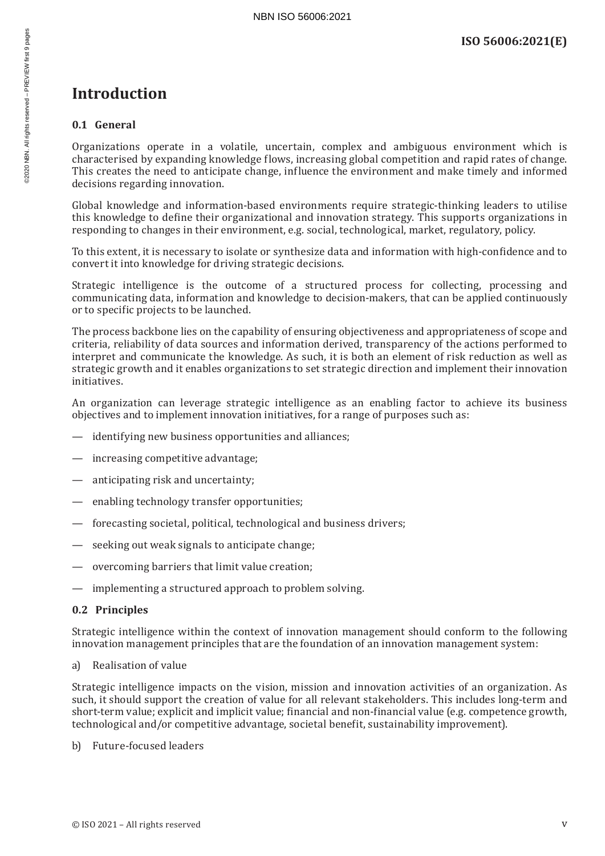#### **Introduction**

#### **0.1 General**

Organizations operate in a volatile, uncertain, complex and ambiguous environment which is characterised by expanding knowledge flows, increasing global competition and rapid rates of change. This creates the need to anticipate change, influence the environment and make timely and informed decisions regarding innovation.

Global knowledge and information-based environments require strategic-thinking leaders to utilise this knowledge to define their organizational and innovation strategy. This supports organizations in responding to changes in their environment, e.g. social, technological, market, regulatory, policy.

To this extent, it is necessary to isolate or synthesize data and information with high-confidence and to convert it into knowledge for driving strategic decisions.

Strategic intelligence is the outcome of a structured process for collecting, processing and communicating data, information and knowledge to decision-makers, that can be applied continuously or to specific projects to be launched.

The process backbone lies on the capability of ensuring objectiveness and appropriateness of scope and criteria, reliability of data sources and information derived, transparency of the actions performed to interpret and communicate the knowledge. As such, it is both an element of risk reduction as well as strategic growth and it enables organizations to set strategic direction and implement their innovation initiatives.

An organization can leverage strategic intelligence as an enabling factor to achieve its business objectives and to implement innovation initiatives, for a range of purposes such as:

- identifying new business opportunities and alliances;
- increasing competitive advantage;
- anticipating risk and uncertainty;
- enabling technology transfer opportunities;
- forecasting societal, political, technological and business drivers;
- seeking out weak signals to anticipate change;
- overcoming barriers that limit value creation;
- implementing a structured approach to problem solving.

#### **0.2 Principles**

Strategic intelligence within the context of innovation management should conform to the following innovation management principles that are the foundation of an innovation management system:

a) Realisation of value

Strategic intelligence impacts on the vision, mission and innovation activities of an organization. As such, it should support the creation of value for all relevant stakeholders. This includes long-term and short-term value; explicit and implicit value; financial and non-financial value (e.g. competence growth, technological and/or competitive advantage, societal benefit, sustainability improvement).

b) Future-focused leaders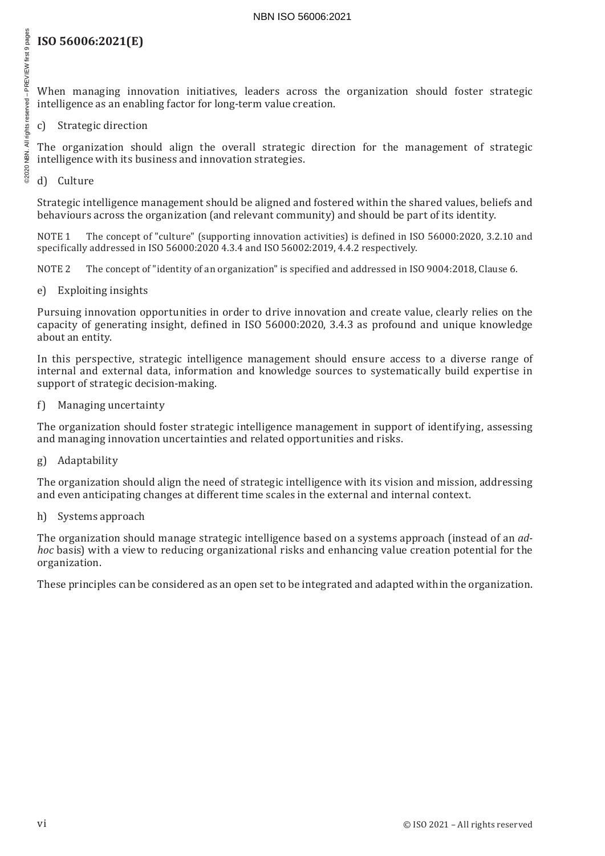#### **ISO 56006:2021(E)**

When managing innovation initiatives, leaders across the organization should foster strategic intelligence as an enabling factor for long-term value creation.

#### c) Strategic direction

The organization should align the overall strategic direction for the management of strategic intelligence with its business and innovation strategies.

#### d) Culture

Strategic intelligence management should be aligned and fostered within the shared values, beliefs and behaviours across the organization (and relevant community) and should be part of its identity.

NOTE 1 The concept of "culture" (supporting innovation activities) is defined in ISO 56000:2020, 3.2.10 and specifically addressed in ISO 56000:2020 4.3.4 and ISO 56002:2019, 4.4.2 respectively.

NOTE 2 The concept of "identity of an organization" is specified and addressed in ISO 9004:2018, Clause 6.

e) Exploiting insights

Pursuing innovation opportunities in order to drive innovation and create value, clearly relies on the capacity of generating insight, defined in ISO 56000:2020, 3.4.3 as profound and unique knowledge about an entity.

In this perspective, strategic intelligence management should ensure access to a diverse range of internal and external data, information and knowledge sources to systematically build expertise in support of strategic decision-making.

#### f) Managing uncertainty

The organization should foster strategic intelligence management in support of identifying, assessing and managing innovation uncertainties and related opportunities and risks.

g) Adaptability

The organization should align the need of strategic intelligence with its vision and mission, addressing and even anticipating changes at different time scales in the external and internal context.

h) Systems approach

The organization should manage strategic intelligence based on a systems approach (instead of an *adhoc* basis) with a view to reducing organizational risks and enhancing value creation potential for the organization.

These principles can be considered as an open set to be integrated and adapted within the organization.